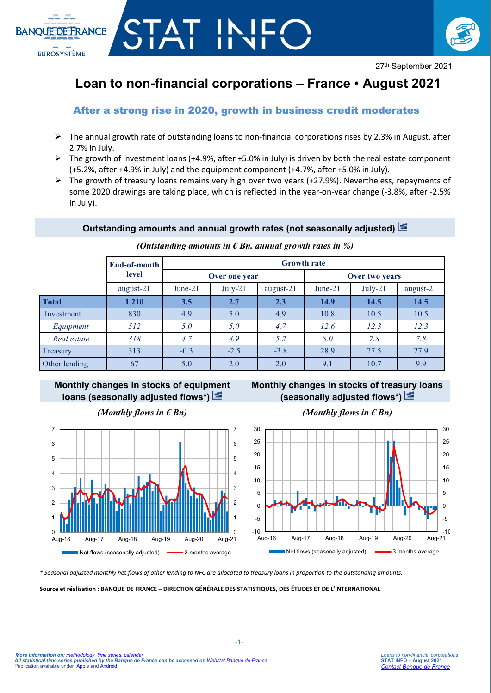

# **Loan to non-financial corporations – France** • **August 2021**

# After a strong rise in 2020, growth in business credit moderates

CTAT IN

**BANQUE DE FRANCE** 

**EUROSYSTÈME** 

- $\triangleright$  The annual growth rate of outstanding loans to non-financial corporations rises by 2.3% in August, after 2.7% in July.
- $\triangleright$  The growth of investment loans (+4.9%, after +5.0% in July) is driven by both the real estate component (+5.2%, after +4.9% in July) and the equipment component (+4.7%, after +5.0% in July).
- $\triangleright$  The growth of treasury loans remains very high over two years (+27.9%). Nevertheless, repayments of some 2020 drawings are taking place, which is reflected in the year-on-year change (-3.8%, after -2.5% in July).

## **Outstanding amounts and annual growth rates (not seasonally adjusted)**

|               | End-of-month<br>level | <b>Growth rate</b> |           |           |                |           |           |
|---------------|-----------------------|--------------------|-----------|-----------|----------------|-----------|-----------|
|               |                       | Over one year      |           |           | Over two years |           |           |
|               | august-21             | June- $21$         | $July-21$ | august-21 | June- $21$     | $July-21$ | august-21 |
| <b>Total</b>  | 1 2 1 0               | 3.5                | 2.7       | 2.3       | 14.9           | 14.5      | 14.5      |
| Investment    | 830                   | 4.9                | 5.0       | 4.9       | 10.8           | 10.5      | 10.5      |
| Equipment     | 512                   | 5.0                | 5.0       | 4.7       | 12.6           | 12.3      | 12.3      |
| Real estate   | 318                   | 4.7                | 4.9       | 5.2       | 8.0            | 7.8       | 7.8       |
| Treasury      | 313                   | $-0.3$             | $-2.5$    | $-3.8$    | 28.9           | 27.5      | 27.9      |
| Other lending | 67                    | 5.0                | 2.0       | 2.0       | 9.1            | 10.7      | 9.9       |

*(Outstanding amounts in € Bn. annual growth rates in %)*

# **Monthly changes in stocks of equipment loans (seasonally adjusted flows\*)**



**Monthly changes in stocks of treasury loans (seasonally adjusted flows\*)**



*(Monthly flows in*  $\epsilon$  *Bn) (Monthly flows in*  $\epsilon$  *Bn)* 

*\* Seasonal adjusted monthly net flows of other lending to NFC are allocated to treasury loans in proportion to the outstanding amounts.*

**Source et réalisation : BANQUE DE FRANCE – DIRECTION GÉNÉRALE DES STATISTIQUES, DES ÉTUDES ET DE L'INTERNATIONAL**